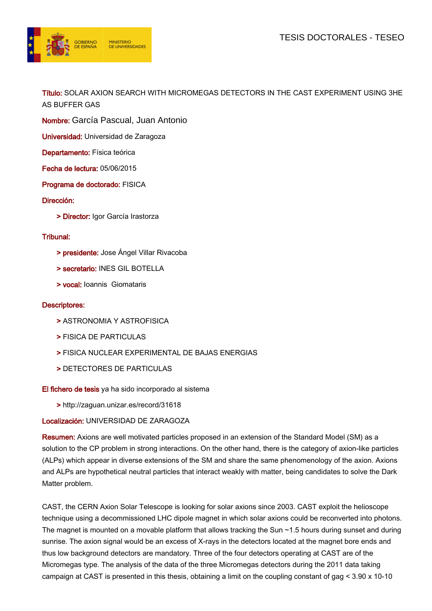

Título: SOLAR AXION SEARCH WITH MICROMEGAS DETECTORS IN THE CAST EXPERIMENT USING 3HE AS BUFFER GAS

Nombre: García Pascual, Juan Antonio

Universidad: Universidad de Zaragoza

Departamento: Física teórica

Fecha de lectura: 05/06/2015

Programa de doctorado: FISICA

Dirección:

> Director: Igor García Irastorza

## Tribunal:

- > presidente: Jose Ángel Villar Rivacoba
- > secretario: INES GIL BOTELLA
- > vocal: Ioannis Giomataris

## Descriptores:

- > ASTRONOMIA Y ASTROFISICA
- > FISICA DE PARTICULAS
- > FISICA NUCLEAR EXPERIMENTAL DE BAJAS ENERGIAS
- > DETECTORES DE PARTICULAS

## El fichero de tesis ya ha sido incorporado al sistema

> http://zaguan.unizar.es/record/31618

## Localización: UNIVERSIDAD DE ZARAGOZA

Resumen: Axions are well motivated particles proposed in an extension of the Standard Model (SM) as a solution to the CP problem in strong interactions. On the other hand, there is the category of axion-like particles (ALPs) which appear in diverse extensions of the SM and share the same phenomenology of the axion. Axions and ALPs are hypothetical neutral particles that interact weakly with matter, being candidates to solve the Dark Matter problem.

CAST, the CERN Axion Solar Telescope is looking for solar axions since 2003. CAST exploit the helioscope technique using a decommissioned LHC dipole magnet in which solar axions could be reconverted into photons. The magnet is mounted on a movable platform that allows tracking the Sun ~1.5 hours during sunset and during sunrise. The axion signal would be an excess of X-rays in the detectors located at the magnet bore ends and thus low background detectors are mandatory. Three of the four detectors operating at CAST are of the Micromegas type. The analysis of the data of the three Micromegas detectors during the 2011 data taking campaign at CAST is presented in this thesis, obtaining a limit on the coupling constant of gag < 3.90 x 10-10